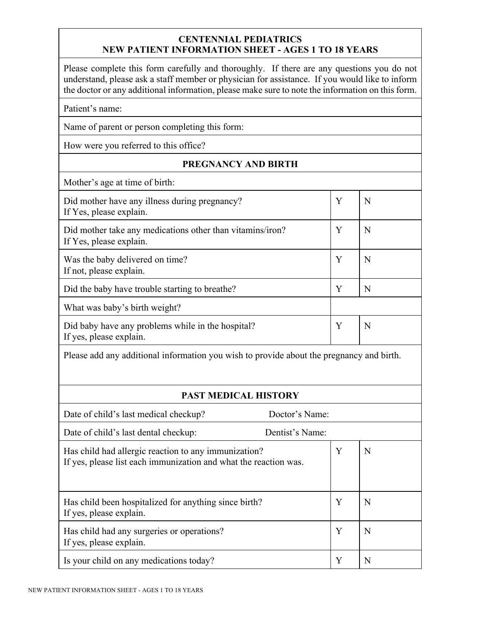## **CENTENNIAL PEDIATRICS NEW PATIENT INFORMATION SHEET - AGES 1 TO 18 YEARS**

Please complete this form carefully and thoroughly. If there are any questions you do not understand, please ask a staff member or physician for assistance. If you would like to inform the doctor or any additional information, please make sure to note the information on this form.

Patient's name:

Name of parent or person completing this form:

How were you referred to this office?

## **PREGNANCY AND BIRTH**

Mother's age at time of birth:

| Did mother have any illness during pregnancy?<br>If Yes, please explain.             | Y | N |
|--------------------------------------------------------------------------------------|---|---|
| Did mother take any medications other than vitamins/iron?<br>If Yes, please explain. | Y | N |
| Was the baby delivered on time?<br>If not, please explain.                           | Y | N |
| Did the baby have trouble starting to breathe?                                       | Y | N |
| What was baby's birth weight?                                                        |   |   |
| Did baby have any problems while in the hospital?<br>If yes, please explain.         | Y | N |

Please add any additional information you wish to provide about the pregnancy and birth.

## **PAST MEDICAL HISTORY**

| Date of child's last medical checkup?                                                                                    | Doctor's Name:  |   |   |
|--------------------------------------------------------------------------------------------------------------------------|-----------------|---|---|
| Date of child's last dental checkup:                                                                                     | Dentist's Name: |   |   |
| Has child had allergic reaction to any immunization?<br>If yes, please list each immunization and what the reaction was. |                 | Y | N |
| Has child been hospitalized for anything since birth?<br>If yes, please explain.                                         |                 | Y | N |
| Has child had any surgeries or operations?<br>If yes, please explain.                                                    |                 | Y | N |
| Is your child on any medications today?                                                                                  |                 | Y | N |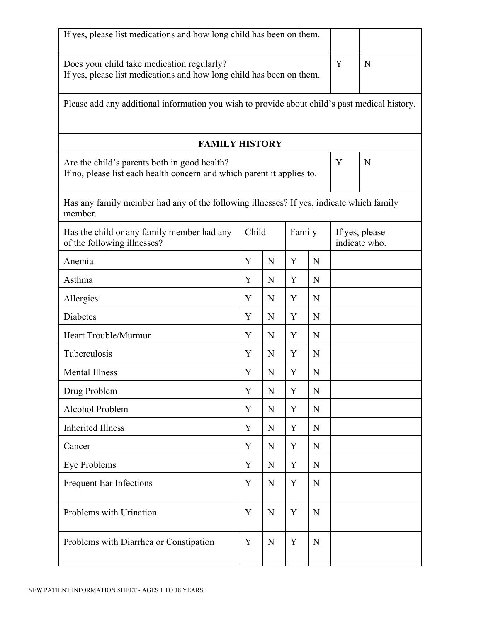| If yes, please list medications and how long child has been on them.                                                   |       |   |        |   |                                 |   |
|------------------------------------------------------------------------------------------------------------------------|-------|---|--------|---|---------------------------------|---|
| Does your child take medication regularly?<br>If yes, please list medications and how long child has been on them.     |       |   |        |   | Y                               | N |
| Please add any additional information you wish to provide about child's past medical history.                          |       |   |        |   |                                 |   |
| <b>FAMILY HISTORY</b>                                                                                                  |       |   |        |   |                                 |   |
| Are the child's parents both in good health?<br>If no, please list each health concern and which parent it applies to. |       |   |        |   | Y                               | N |
| Has any family member had any of the following illnesses? If yes, indicate which family<br>member.                     |       |   |        |   |                                 |   |
| Has the child or any family member had any<br>of the following illnesses?                                              | Child |   | Family |   | If yes, please<br>indicate who. |   |
| Anemia                                                                                                                 | Y     | N | Y      | N |                                 |   |
| Asthma                                                                                                                 | Y     | N | Y      | N |                                 |   |
| Allergies                                                                                                              | Y     | N | Y      | N |                                 |   |
| <b>Diabetes</b>                                                                                                        | Y     | N | Y      | N |                                 |   |
| Heart Trouble/Murmur                                                                                                   | Y     | N | Y      | N |                                 |   |
| Tuberculosis                                                                                                           | Y     | N | Y      | N |                                 |   |
| <b>Mental Illness</b>                                                                                                  | Y     | N | Y      | N |                                 |   |
| Drug Problem                                                                                                           | Y     | N | Y      | N |                                 |   |
| Alcohol Problem                                                                                                        | Y     | N | Y      | N |                                 |   |
| <b>Inherited Illness</b>                                                                                               | Y     | N | Y      | N |                                 |   |
| Cancer                                                                                                                 | Y     | N | Y      | N |                                 |   |
| Eye Problems                                                                                                           | Y     | N | Y      | N |                                 |   |
| Frequent Ear Infections                                                                                                | Y     | N | Y      | N |                                 |   |
| Problems with Urination                                                                                                | Y     | N | Y      | N |                                 |   |
| Problems with Diarrhea or Constipation                                                                                 | Y     | N | Y      | N |                                 |   |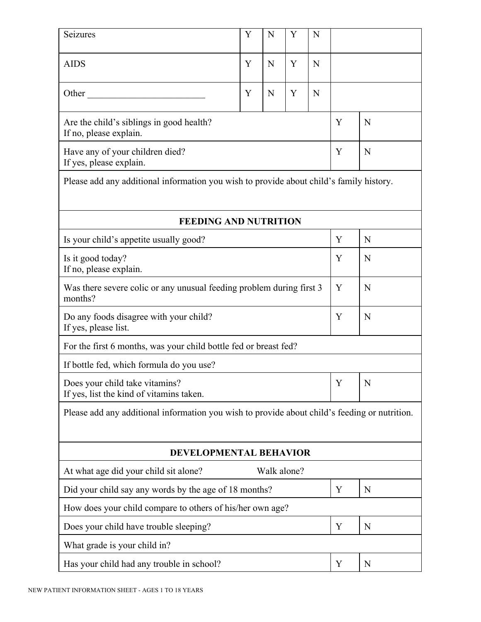| Seizures                                                                                      | Y | N           | Y | N |   |   |
|-----------------------------------------------------------------------------------------------|---|-------------|---|---|---|---|
| <b>AIDS</b>                                                                                   | Y | N           | Y | N |   |   |
| Other                                                                                         | Y | N           | Y | N |   |   |
| Are the child's siblings in good health?<br>If no, please explain.                            |   |             |   |   | Y | N |
| Have any of your children died?<br>If yes, please explain.                                    |   |             |   |   | Y | N |
| Please add any additional information you wish to provide about child's family history.       |   |             |   |   |   |   |
|                                                                                               |   |             |   |   |   |   |
| <b>FEEDING AND NUTRITION</b>                                                                  |   |             |   |   |   |   |
| Is your child's appetite usually good?                                                        |   |             |   |   | Y | N |
| Is it good today?<br>If no, please explain.                                                   |   |             |   |   | Y | N |
| Was there severe colic or any unusual feeding problem during first 3<br>months?               |   |             |   |   | Y | N |
| Do any foods disagree with your child?<br>If yes, please list.                                |   |             |   |   | Y | N |
| For the first 6 months, was your child bottle fed or breast fed?                              |   |             |   |   |   |   |
| If bottle fed, which formula do you use?                                                      |   |             |   |   |   |   |
| Does your child take vitamins?<br>If yes, list the kind of vitamins taken.                    |   |             |   |   | Y | N |
| Please add any additional information you wish to provide about child's feeding or nutrition. |   |             |   |   |   |   |
| DEVELOPMENTAL BEHAVIOR                                                                        |   |             |   |   |   |   |
| At what age did your child sit alone?                                                         |   | Walk alone? |   |   |   |   |
| Did your child say any words by the age of 18 months?                                         |   |             |   | Y | N |   |
| How does your child compare to others of his/her own age?                                     |   |             |   |   |   |   |
| Does your child have trouble sleeping?                                                        |   |             |   |   | Y | N |
| What grade is your child in?                                                                  |   |             |   |   |   |   |
| Has your child had any trouble in school?                                                     |   |             |   |   | Y | N |